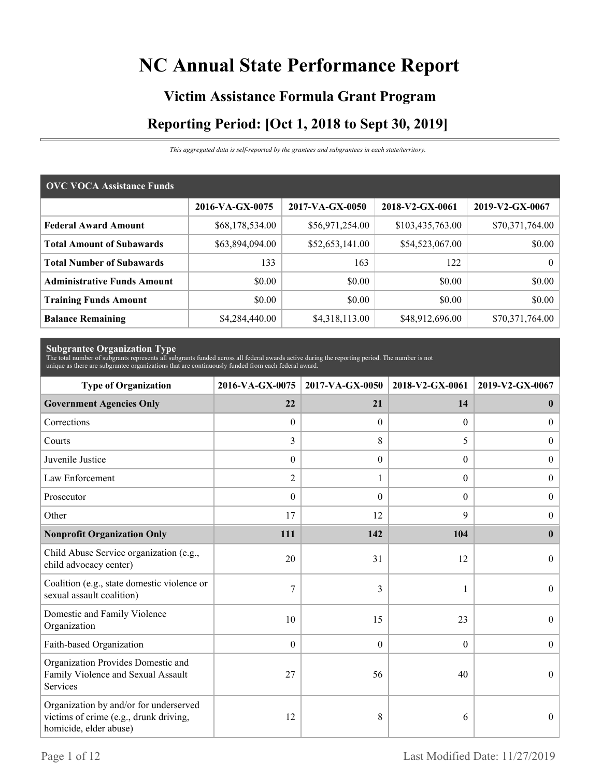# **NC Annual State Performance Report**

# **Victim Assistance Formula Grant Program Reporting Period: [Oct 1, 2018 to Sept 30, 2019]**

*This aggregated data is self-reported by the grantees and subgrantees in each state/territory.*

| <b>OVC VOCA Assistance Funds</b>   |                 |                 |                  |                 |
|------------------------------------|-----------------|-----------------|------------------|-----------------|
|                                    | 2016-VA-GX-0075 | 2017-VA-GX-0050 | 2018-V2-GX-0061  | 2019-V2-GX-0067 |
| <b>Federal Award Amount</b>        | \$68,178,534.00 | \$56,971,254.00 | \$103,435,763.00 | \$70,371,764.00 |
| <b>Total Amount of Subawards</b>   | \$63,894,094.00 | \$52,653,141.00 | \$54,523,067.00  | \$0.00          |
| <b>Total Number of Subawards</b>   | 133             | 163             | 122              | $\overline{0}$  |
| <b>Administrative Funds Amount</b> | \$0.00          | \$0.00          | \$0.00           | \$0.00          |
| <b>Training Funds Amount</b>       | \$0.00          | \$0.00          | \$0.00           | \$0.00          |
| <b>Balance Remaining</b>           | \$4,284,440.00  | \$4,318,113.00  | \$48,912,696.00  | \$70,371,764.00 |

**Subgrantee Organization Type** The total number of subgrants represents all subgrants funded across all federal awards active during the reporting period. The number is not unique as there are subgrantee organizations that are continuously funded from each federal award.

| <b>Type of Organization</b>                                                                                | 2016-VA-GX-0075  | 2017-VA-GX-0050 | 2018-V2-GX-0061  | 2019-V2-GX-0067  |
|------------------------------------------------------------------------------------------------------------|------------------|-----------------|------------------|------------------|
| <b>Government Agencies Only</b>                                                                            | 22               | 21              | 14               | $\bf{0}$         |
| Corrections                                                                                                | $\boldsymbol{0}$ | $\theta$        | $\Omega$         | $\overline{0}$   |
| Courts                                                                                                     | 3                | 8               | 5                | $\overline{0}$   |
| Juvenile Justice                                                                                           | $\boldsymbol{0}$ | $\theta$        | $\overline{0}$   | $\boldsymbol{0}$ |
| Law Enforcement                                                                                            | $\overline{2}$   | 1               | $\boldsymbol{0}$ | $\boldsymbol{0}$ |
| Prosecutor                                                                                                 | $\theta$         | $\theta$        | $\theta$         | $\boldsymbol{0}$ |
| Other                                                                                                      | 17               | 12              | 9                | $\boldsymbol{0}$ |
| <b>Nonprofit Organization Only</b>                                                                         | 111              | 142             | 104              | $\bf{0}$         |
| Child Abuse Service organization (e.g.,<br>child advocacy center)                                          | 20               | 31              | 12               | $\theta$         |
| Coalition (e.g., state domestic violence or<br>sexual assault coalition)                                   | 7                | 3               |                  | $\theta$         |
| Domestic and Family Violence<br>Organization                                                               | 10               | 15              | 23               | $\theta$         |
| Faith-based Organization                                                                                   | $\mathbf{0}$     | $\overline{0}$  | $\boldsymbol{0}$ | $\boldsymbol{0}$ |
| Organization Provides Domestic and<br>Family Violence and Sexual Assault<br>Services                       | 27               | 56              | 40               | $\theta$         |
| Organization by and/or for underserved<br>victims of crime (e.g., drunk driving,<br>homicide, elder abuse) | 12               | 8               | 6                | $\overline{0}$   |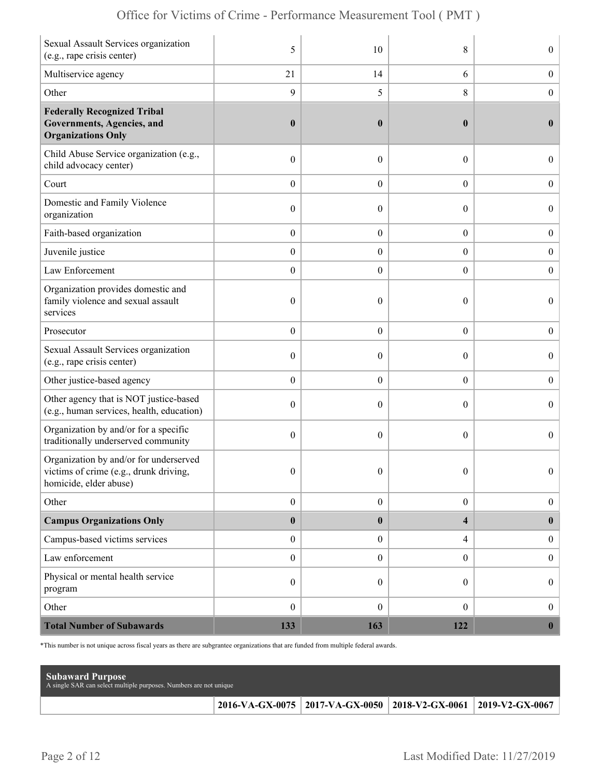|  | Office for Victims of Crime - Performance Measurement Tool (PMT) |  |  |  |  |
|--|------------------------------------------------------------------|--|--|--|--|
|--|------------------------------------------------------------------|--|--|--|--|

| Sexual Assault Services organization<br>(e.g., rape crisis center)                                         | 5                | 10               | 8                | $\boldsymbol{0}$ |
|------------------------------------------------------------------------------------------------------------|------------------|------------------|------------------|------------------|
| Multiservice agency                                                                                        | 21               | 14               | 6                | $\boldsymbol{0}$ |
| Other                                                                                                      | $\overline{9}$   | 5                | 8                | $\boldsymbol{0}$ |
| <b>Federally Recognized Tribal</b><br><b>Governments, Agencies, and</b><br><b>Organizations Only</b>       | $\boldsymbol{0}$ | $\boldsymbol{0}$ | $\bf{0}$         | $\bf{0}$         |
| Child Abuse Service organization (e.g.,<br>child advocacy center)                                          | $\boldsymbol{0}$ | $\mathbf{0}$     | $\theta$         | $\overline{0}$   |
| Court                                                                                                      | $\boldsymbol{0}$ | $\theta$         | $\overline{0}$   | $\overline{0}$   |
| Domestic and Family Violence<br>organization                                                               | $\boldsymbol{0}$ | 0                | $\boldsymbol{0}$ | $\boldsymbol{0}$ |
| Faith-based organization                                                                                   | $\boldsymbol{0}$ | $\boldsymbol{0}$ | $\boldsymbol{0}$ | $\boldsymbol{0}$ |
| Juvenile justice                                                                                           | $\boldsymbol{0}$ | $\overline{0}$   | $\overline{0}$   | $\boldsymbol{0}$ |
| Law Enforcement                                                                                            | $\boldsymbol{0}$ | $\boldsymbol{0}$ | $\boldsymbol{0}$ | $\boldsymbol{0}$ |
| Organization provides domestic and<br>family violence and sexual assault<br>services                       | $\boldsymbol{0}$ | $\mathbf{0}$     | $\theta$         | $\overline{0}$   |
| Prosecutor                                                                                                 | $\boldsymbol{0}$ | $\theta$         | $\boldsymbol{0}$ | $\boldsymbol{0}$ |
| Sexual Assault Services organization<br>(e.g., rape crisis center)                                         | $\boldsymbol{0}$ | $\theta$         | $\theta$         | $\boldsymbol{0}$ |
| Other justice-based agency                                                                                 | $\boldsymbol{0}$ | $\boldsymbol{0}$ | $\boldsymbol{0}$ | $\boldsymbol{0}$ |
| Other agency that is NOT justice-based<br>(e.g., human services, health, education)                        | $\boldsymbol{0}$ | $\theta$         | $\theta$         | $\overline{0}$   |
| Organization by and/or for a specific<br>traditionally underserved community                               | $\boldsymbol{0}$ | $\theta$         | $\boldsymbol{0}$ | $\overline{0}$   |
| Organization by and/or for underserved<br>victims of crime (e.g., drunk driving,<br>homicide, elder abuse) | $\boldsymbol{0}$ | $\boldsymbol{0}$ | $\boldsymbol{0}$ | $\Omega$         |
| Other                                                                                                      | $\boldsymbol{0}$ | $\boldsymbol{0}$ | $\overline{0}$   | $\boldsymbol{0}$ |
| <b>Campus Organizations Only</b>                                                                           | $\bf{0}$         | $\boldsymbol{0}$ | 4                | $\mathbf{0}$     |
| Campus-based victims services                                                                              | $\boldsymbol{0}$ | $\boldsymbol{0}$ | 4                | $\boldsymbol{0}$ |
| Law enforcement                                                                                            | $\boldsymbol{0}$ | $\boldsymbol{0}$ | $\overline{0}$   | $\boldsymbol{0}$ |
| Physical or mental health service<br>program                                                               | $\boldsymbol{0}$ | $\theta$         | $\overline{0}$   | $\boldsymbol{0}$ |
| Other                                                                                                      | $\boldsymbol{0}$ | $\mathbf{0}$     | $\overline{0}$   | $\boldsymbol{0}$ |
| <b>Total Number of Subawards</b>                                                                           | 133              | 163              | 122              | $\mathbf{0}$     |

\*This number is not unique across fiscal years as there are subgrantee organizations that are funded from multiple federal awards.

| <b>Subaward Purpose</b><br>A single SAR can select multiple purposes. Numbers are not unique |                                                                       |  |
|----------------------------------------------------------------------------------------------|-----------------------------------------------------------------------|--|
|                                                                                              | 2016-VA-GX-0075   2017-VA-GX-0050   2018-V2-GX-0061   2019-V2-GX-0067 |  |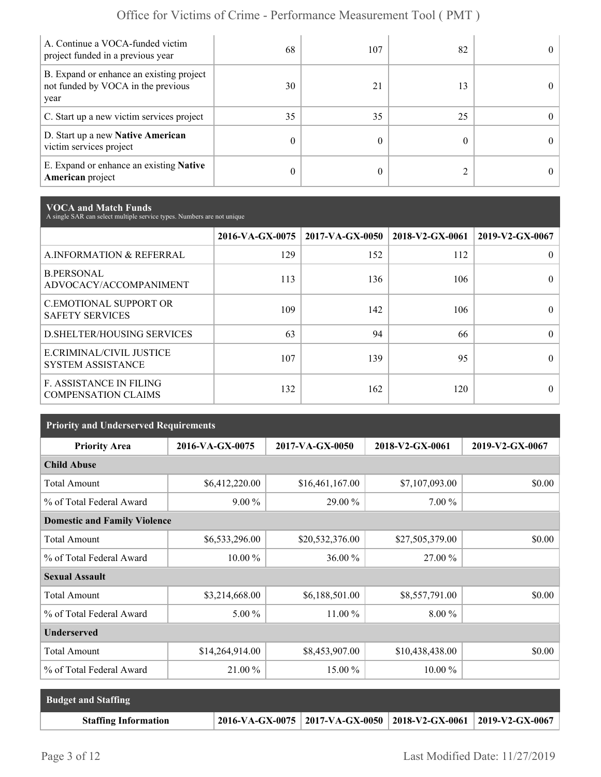| A. Continue a VOCA-funded victim<br>project funded in a previous year                  | 68 | 107 | 82 | $\Omega$   |
|----------------------------------------------------------------------------------------|----|-----|----|------------|
| B. Expand or enhance an existing project<br>not funded by VOCA in the previous<br>year | 30 | 21  | 13 | $\Omega$   |
| C. Start up a new victim services project                                              | 35 | 35  | 25 | 0          |
| D. Start up a new Native American<br>victim services project                           | 0  |     |    | $^{\circ}$ |
| E. Expand or enhance an existing <b>Native</b><br><b>American</b> project              | 0  |     |    | 0          |

**VOCA and Match Funds** A single SAR can select multiple service types. Numbers are not unique

|                                                              | 2016-VA-GX-0075 | $2017$ -VA-GX-0050 | 2018-V2-GX-0061 | 2019-V2-GX-0067 |
|--------------------------------------------------------------|-----------------|--------------------|-----------------|-----------------|
| A.INFORMATION & REFERRAL                                     | 129             | 152                | 112             | 0               |
| <b>B.PERSONAL</b><br>ADVOCACY/ACCOMPANIMENT                  | 113             | 136                | 106             | 0               |
| <b>C.EMOTIONAL SUPPORT OR</b><br><b>SAFETY SERVICES</b>      | 109             | 142                | 106             | 0               |
| <b>D.SHELTER/HOUSING SERVICES</b>                            | 63              | 94                 | 66              | 0               |
| E.CRIMINAL/CIVIL JUSTICE<br><b>SYSTEM ASSISTANCE</b>         | 107             | 139                | 95              |                 |
| <b>F. ASSISTANCE IN FILING</b><br><b>COMPENSATION CLAIMS</b> | 132             | 162                | 120             | $\theta$        |

| <b>Priority and Underserved Requirements</b> |                 |                 |                 |                 |  |  |  |
|----------------------------------------------|-----------------|-----------------|-----------------|-----------------|--|--|--|
| <b>Priority Area</b>                         | 2016-VA-GX-0075 | 2017-VA-GX-0050 | 2018-V2-GX-0061 | 2019-V2-GX-0067 |  |  |  |
| <b>Child Abuse</b>                           |                 |                 |                 |                 |  |  |  |
| <b>Total Amount</b>                          | \$6,412,220.00  | \$16,461,167.00 | \$7,107,093.00  | \$0.00          |  |  |  |
| % of Total Federal Award                     | $9.00\%$        | 29.00 %         | $7.00\%$        |                 |  |  |  |
| <b>Domestic and Family Violence</b>          |                 |                 |                 |                 |  |  |  |
| <b>Total Amount</b>                          | \$6,533,296.00  | \$20,532,376.00 | \$27,505,379.00 | \$0.00          |  |  |  |
| % of Total Federal Award                     | $10.00\%$       | 36.00 %         | 27.00 %         |                 |  |  |  |
| <b>Sexual Assault</b>                        |                 |                 |                 |                 |  |  |  |
| <b>Total Amount</b>                          | \$3,214,668.00  | \$6,188,501.00  | \$8,557,791.00  | \$0.00          |  |  |  |
| % of Total Federal Award                     | $5.00\%$        | $11.00\%$       | $8.00\%$        |                 |  |  |  |
| <b>Underserved</b>                           |                 |                 |                 |                 |  |  |  |
| <b>Total Amount</b>                          | \$14,264,914.00 | \$8,453,907.00  | \$10,438,438.00 | \$0.00          |  |  |  |
| % of Total Federal Award                     | 21.00 %         | 15.00 %         | $10.00\%$       |                 |  |  |  |

| <b>Budget and Staffing</b>  |                                                                       |  |
|-----------------------------|-----------------------------------------------------------------------|--|
| <b>Staffing Information</b> | 2016-VA-GX-0075   2017-VA-GX-0050   2018-V2-GX-0061   2019-V2-GX-0067 |  |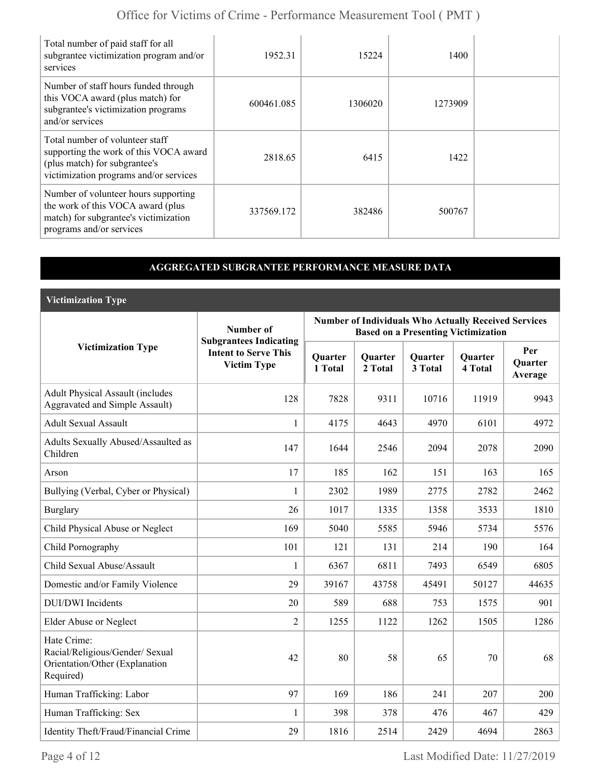| Total number of paid staff for all<br>subgrantee victimization program and/or<br>services                                                            | 1952.31    | 15224   | 1400    |  |
|------------------------------------------------------------------------------------------------------------------------------------------------------|------------|---------|---------|--|
| Number of staff hours funded through<br>this VOCA award (plus match) for<br>subgrantee's victimization programs<br>and/or services                   | 600461.085 | 1306020 | 1273909 |  |
| Total number of volunteer staff<br>supporting the work of this VOCA award<br>(plus match) for subgrantee's<br>victimization programs and/or services | 2818.65    | 6415    | 1422    |  |
| Number of volunteer hours supporting<br>the work of this VOCA award (plus<br>match) for subgrantee's victimization<br>programs and/or services       | 337569.172 | 382486  | 500767  |  |

### **AGGREGATED SUBGRANTEE PERFORMANCE MEASURE DATA**

**Victimization Type**

|                                                                                               | Number of                                                                          | <b>Number of Individuals Who Actually Received Services</b><br><b>Based on a Presenting Victimization</b> |                           |                           |                           |                                  |
|-----------------------------------------------------------------------------------------------|------------------------------------------------------------------------------------|-----------------------------------------------------------------------------------------------------------|---------------------------|---------------------------|---------------------------|----------------------------------|
| <b>Victimization Type</b>                                                                     | <b>Subgrantees Indicating</b><br><b>Intent to Serve This</b><br><b>Victim Type</b> | Quarter<br>1 Total                                                                                        | <b>Quarter</b><br>2 Total | <b>Quarter</b><br>3 Total | <b>Quarter</b><br>4 Total | Per<br><b>Ouarter</b><br>Average |
| <b>Adult Physical Assault (includes</b><br><b>Aggravated and Simple Assault)</b>              | 128                                                                                | 7828                                                                                                      | 9311                      | 10716                     | 11919                     | 9943                             |
| <b>Adult Sexual Assault</b>                                                                   | $\mathbf{1}$                                                                       | 4175                                                                                                      | 4643                      | 4970                      | 6101                      | 4972                             |
| Adults Sexually Abused/Assaulted as<br>Children                                               | 147                                                                                | 1644                                                                                                      | 2546                      | 2094                      | 2078                      | 2090                             |
| Arson                                                                                         | 17                                                                                 | 185                                                                                                       | 162                       | 151                       | 163                       | 165                              |
| Bullying (Verbal, Cyber or Physical)                                                          | 1                                                                                  | 2302                                                                                                      | 1989                      | 2775                      | 2782                      | 2462                             |
| <b>Burglary</b>                                                                               | 26                                                                                 | 1017                                                                                                      | 1335                      | 1358                      | 3533                      | 1810                             |
| Child Physical Abuse or Neglect                                                               | 169                                                                                | 5040                                                                                                      | 5585                      | 5946                      | 5734                      | 5576                             |
| Child Pornography                                                                             | 101                                                                                | 121                                                                                                       | 131                       | 214                       | 190                       | 164                              |
| Child Sexual Abuse/Assault                                                                    | 1                                                                                  | 6367                                                                                                      | 6811                      | 7493                      | 6549                      | 6805                             |
| Domestic and/or Family Violence                                                               | 29                                                                                 | 39167                                                                                                     | 43758                     | 45491                     | 50127                     | 44635                            |
| <b>DUI/DWI</b> Incidents                                                                      | 20                                                                                 | 589                                                                                                       | 688                       | 753                       | 1575                      | 901                              |
| Elder Abuse or Neglect                                                                        | $\overline{2}$                                                                     | 1255                                                                                                      | 1122                      | 1262                      | 1505                      | 1286                             |
| Hate Crime:<br>Racial/Religious/Gender/ Sexual<br>Orientation/Other (Explanation<br>Required) | 42                                                                                 | 80                                                                                                        | 58                        | 65                        | 70                        | 68                               |
| Human Trafficking: Labor                                                                      | 97                                                                                 | 169                                                                                                       | 186                       | 241                       | 207                       | 200                              |
| Human Trafficking: Sex                                                                        | 1                                                                                  | 398                                                                                                       | 378                       | 476                       | 467                       | 429                              |
| Identity Theft/Fraud/Financial Crime                                                          | 29                                                                                 | 1816                                                                                                      | 2514                      | 2429                      | 4694                      | 2863                             |

Page 4 of 12 Last Modified Date: 11/27/2019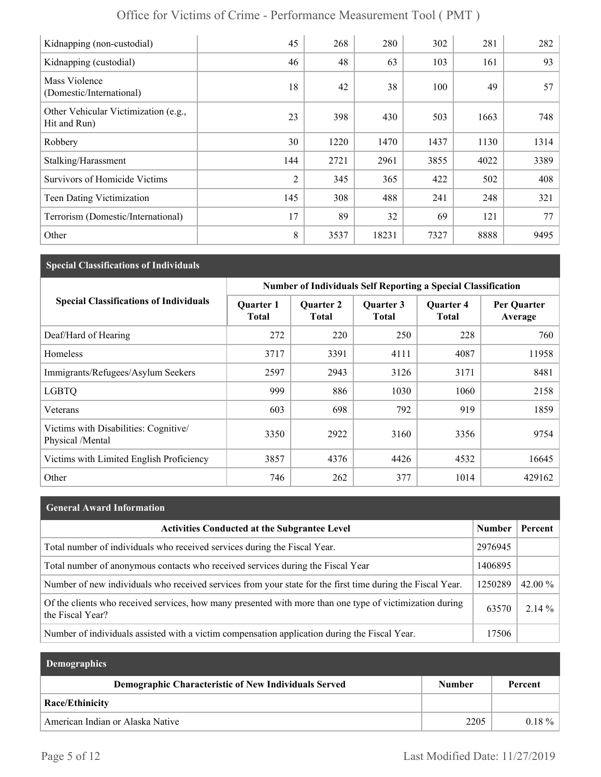| Kidnapping (non-custodial)                           | 45             | 268  | 280   | 302  | 281  | 282  |
|------------------------------------------------------|----------------|------|-------|------|------|------|
| Kidnapping (custodial)                               | 46             | 48   | 63    | 103  | 161  | 93   |
| Mass Violence<br>(Domestic/International)            | 18             | 42   | 38    | 100  | 49   | 57   |
| Other Vehicular Victimization (e.g.,<br>Hit and Run) | 23             | 398  | 430   | 503  | 1663 | 748  |
| Robbery                                              | 30             | 1220 | 1470  | 1437 | 1130 | 1314 |
| Stalking/Harassment                                  | 144            | 2721 | 2961  | 3855 | 4022 | 3389 |
| <b>Survivors of Homicide Victims</b>                 | $\overline{2}$ | 345  | 365   | 422  | 502  | 408  |
| Teen Dating Victimization                            | 145            | 308  | 488   | 241  | 248  | 321  |
| Terrorism (Domestic/International)                   | 17             | 89   | 32    | 69   | 121  | 77   |
| Other                                                | 8              | 3537 | 18231 | 7327 | 8888 | 9495 |

#### **Special Classifications of Individuals**

|                                                           | Number of Individuals Self Reporting a Special Classification |                                  |                           |                                  |                        |
|-----------------------------------------------------------|---------------------------------------------------------------|----------------------------------|---------------------------|----------------------------------|------------------------|
| <b>Special Classifications of Individuals</b>             | <b>Quarter 1</b><br><b>Total</b>                              | <b>Quarter 2</b><br><b>Total</b> | Quarter 3<br><b>Total</b> | <b>Quarter 4</b><br><b>Total</b> | Per Quarter<br>Average |
| Deaf/Hard of Hearing                                      | 272                                                           | 220                              | 250                       | 228                              | 760                    |
| Homeless                                                  | 3717                                                          | 3391                             | 4111                      | 4087                             | 11958                  |
| Immigrants/Refugees/Asylum Seekers                        | 2597                                                          | 2943                             | 3126                      | 3171                             | 8481                   |
| <b>LGBTQ</b>                                              | 999                                                           | 886                              | 1030                      | 1060                             | 2158                   |
| Veterans                                                  | 603                                                           | 698                              | 792                       | 919                              | 1859                   |
| Victims with Disabilities: Cognitive/<br>Physical /Mental | 3350                                                          | 2922                             | 3160                      | 3356                             | 9754                   |
| Victims with Limited English Proficiency                  | 3857                                                          | 4376                             | 4426                      | 4532                             | 16645                  |
| Other                                                     | 746                                                           | 262                              | 377                       | 1014                             | 429162                 |

# **General Award Information** Activities Conducted at the Subgrantee Level **Number | Percent** | Number | Percent Total number of individuals who received services during the Fiscal Year. 2976945 Total number of anonymous contacts who received services during the Fiscal Year 1406895 Number of new individuals who received services from your state for the first time during the Fiscal Year.  $\left| \frac{1250289}{20.00}\right|$  42.00 % Of the clients who received services, how many presented with more than one type of victimization during  $63570$  2.14 % Number of individuals assisted with a victim compensation application during the Fiscal Year. 17506

| <b>Demographics</b>                                  |               |          |
|------------------------------------------------------|---------------|----------|
| Demographic Characteristic of New Individuals Served | <b>Number</b> | Percent  |
| Race/Ethinicity                                      |               |          |
| American Indian or Alaska Native                     | 2205          | $0.18\%$ |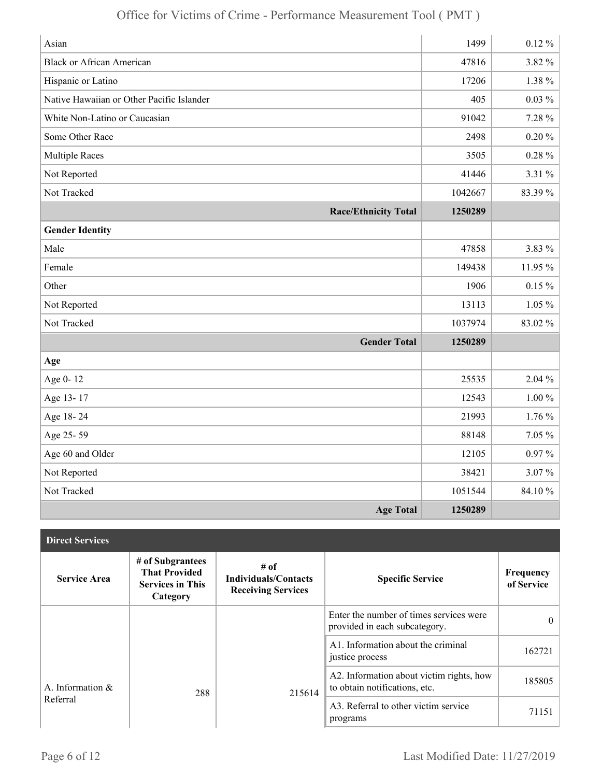| Asian                                     | 1499    | $0.12 \%$ |
|-------------------------------------------|---------|-----------|
| <b>Black or African American</b>          | 47816   | 3.82 %    |
| Hispanic or Latino                        | 17206   | 1.38 %    |
| Native Hawaiian or Other Pacific Islander | 405     | $0.03\%$  |
| White Non-Latino or Caucasian             | 91042   | 7.28 %    |
| Some Other Race                           | 2498    | $0.20 \%$ |
| <b>Multiple Races</b>                     | 3505    | $0.28 \%$ |
| Not Reported                              | 41446   | 3.31 %    |
| Not Tracked                               | 1042667 | 83.39%    |
| <b>Race/Ethnicity Total</b>               | 1250289 |           |
| <b>Gender Identity</b>                    |         |           |
| Male                                      | 47858   | 3.83 %    |
| Female                                    | 149438  | $11.95\%$ |
| Other                                     | 1906    | $0.15 \%$ |
| Not Reported                              | 13113   | $1.05\%$  |
| Not Tracked                               | 1037974 | 83.02%    |
| <b>Gender Total</b>                       | 1250289 |           |
| Age                                       |         |           |
| Age 0-12                                  | 25535   | 2.04 %    |
| Age 13-17                                 | 12543   | $1.00\%$  |
| Age 18-24                                 | 21993   | $1.76\%$  |
| Age 25-59                                 | 88148   | 7.05 %    |
| Age 60 and Older                          | 12105   | $0.97\%$  |
| Not Reported                              | 38421   | 3.07%     |
| Not Tracked                               | 1051544 | 84.10%    |
| <b>Age Total</b>                          | 1250289 |           |

| <b>Direct Services</b> |                                                                                 |                                                                  |                                                                           |                         |
|------------------------|---------------------------------------------------------------------------------|------------------------------------------------------------------|---------------------------------------------------------------------------|-------------------------|
| <b>Service Area</b>    | # of Subgrantees<br><b>That Provided</b><br><b>Services in This</b><br>Category | # of<br><b>Individuals/Contacts</b><br><b>Receiving Services</b> | <b>Specific Service</b>                                                   | Frequency<br>of Service |
|                        |                                                                                 |                                                                  | Enter the number of times services were<br>provided in each subcategory.  | $\theta$                |
|                        |                                                                                 |                                                                  | A1. Information about the criminal<br>justice process                     | 162721                  |
| A. Information $\&$    | 288                                                                             | 215614                                                           | A2. Information about victim rights, how<br>to obtain notifications, etc. | 185805                  |
| Referral               |                                                                                 |                                                                  | A3. Referral to other victim service<br>programs                          | 71151                   |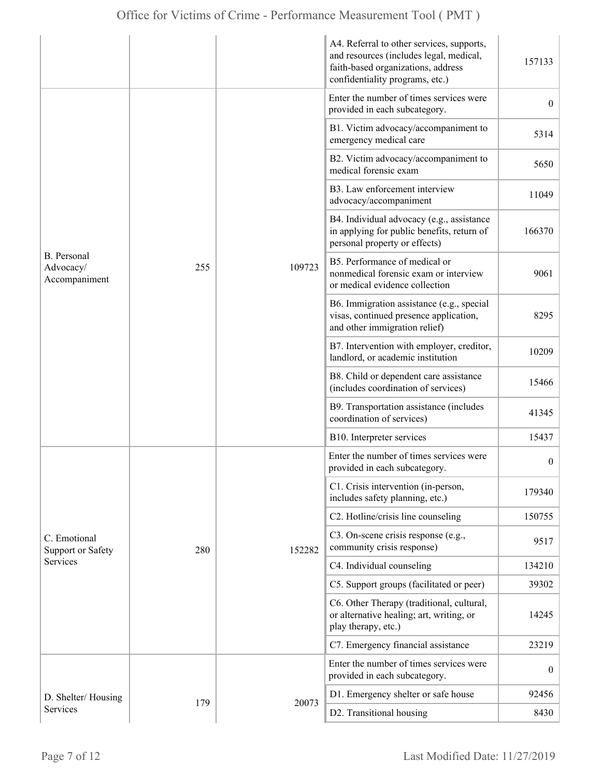|                                                         |     |        | A4. Referral to other services, supports,<br>and resources (includes legal, medical,<br>faith-based organizations, address<br>confidentiality programs, etc.) | 157133           |
|---------------------------------------------------------|-----|--------|---------------------------------------------------------------------------------------------------------------------------------------------------------------|------------------|
|                                                         |     |        | Enter the number of times services were<br>provided in each subcategory.                                                                                      | $\overline{0}$   |
|                                                         |     |        | B1. Victim advocacy/accompaniment to<br>emergency medical care                                                                                                | 5314             |
|                                                         |     |        | B2. Victim advocacy/accompaniment to<br>medical forensic exam                                                                                                 | 5650             |
|                                                         |     |        | B3. Law enforcement interview<br>advocacy/accompaniment                                                                                                       | 11049            |
|                                                         |     | 109723 | B4. Individual advocacy (e.g., assistance<br>in applying for public benefits, return of<br>personal property or effects)                                      | 166370           |
| <b>B.</b> Personal<br>255<br>Advocacy/<br>Accompaniment |     |        | B5. Performance of medical or<br>nonmedical forensic exam or interview<br>or medical evidence collection                                                      | 9061             |
|                                                         |     |        | B6. Immigration assistance (e.g., special<br>visas, continued presence application,<br>and other immigration relief)                                          | 8295             |
|                                                         |     |        | B7. Intervention with employer, creditor,<br>landlord, or academic institution                                                                                | 10209            |
|                                                         |     |        | B8. Child or dependent care assistance<br>(includes coordination of services)                                                                                 | 15466            |
|                                                         |     |        | B9. Transportation assistance (includes<br>coordination of services)                                                                                          | 41345            |
|                                                         |     |        | B10. Interpreter services                                                                                                                                     | 15437            |
|                                                         |     |        | Enter the number of times services were<br>provided in each subcategory.                                                                                      | $\boldsymbol{0}$ |
|                                                         |     |        | C1. Crisis intervention (in-person,<br>includes safety planning, etc.)                                                                                        | 179340           |
|                                                         |     |        | C2. Hotline/crisis line counseling                                                                                                                            | 150755           |
| C. Emotional<br>Support or Safety                       | 280 | 152282 | C3. On-scene crisis response (e.g.,<br>community crisis response)                                                                                             | 9517             |
| <b>Services</b>                                         |     |        | C4. Individual counseling                                                                                                                                     | 134210           |
|                                                         |     |        | C5. Support groups (facilitated or peer)                                                                                                                      | 39302            |
|                                                         |     |        | C6. Other Therapy (traditional, cultural,<br>or alternative healing; art, writing, or<br>play therapy, etc.)                                                  | 14245            |
|                                                         |     |        | C7. Emergency financial assistance                                                                                                                            | 23219            |
|                                                         |     | 20073  | Enter the number of times services were<br>provided in each subcategory.                                                                                      | $\boldsymbol{0}$ |
| D. Shelter/Housing                                      | 179 |        | D1. Emergency shelter or safe house                                                                                                                           | 92456            |
| Services                                                |     |        | D2. Transitional housing                                                                                                                                      | 8430             |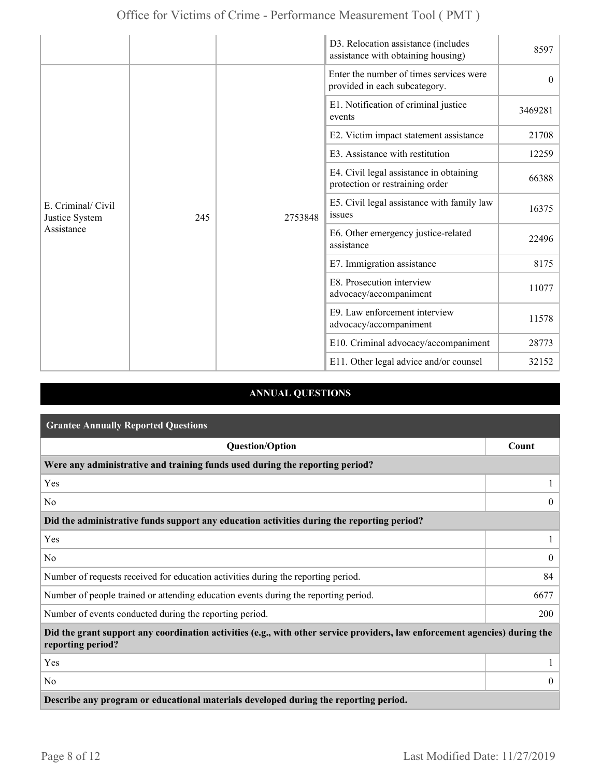|                                                    |     |         | D3. Relocation assistance (includes<br>assistance with obtaining housing)  | 8597     |
|----------------------------------------------------|-----|---------|----------------------------------------------------------------------------|----------|
| E. Criminal/ Civil<br>Justice System<br>Assistance |     |         | Enter the number of times services were<br>provided in each subcategory.   | $\theta$ |
|                                                    |     |         | E1. Notification of criminal justice<br>events                             | 3469281  |
|                                                    |     |         | E2. Victim impact statement assistance                                     | 21708    |
|                                                    |     |         | E3. Assistance with restitution                                            | 12259    |
|                                                    |     | 2753848 | E4. Civil legal assistance in obtaining<br>protection or restraining order | 66388    |
|                                                    | 245 |         | E5. Civil legal assistance with family law<br><i>issues</i>                | 16375    |
|                                                    |     |         | E6. Other emergency justice-related<br>assistance                          | 22496    |
|                                                    |     |         | E7. Immigration assistance                                                 | 8175     |
|                                                    |     |         | E8. Prosecution interview<br>advocacy/accompaniment                        | 11077    |
|                                                    |     |         | E9. Law enforcement interview<br>advocacy/accompaniment                    | 11578    |
|                                                    |     |         | E10. Criminal advocacy/accompaniment                                       | 28773    |
|                                                    |     |         | E11. Other legal advice and/or counsel                                     | 32152    |

### **ANNUAL QUESTIONS**

| <b>Grantee Annually Reported Questions</b>                                                                                                       |                |  |  |
|--------------------------------------------------------------------------------------------------------------------------------------------------|----------------|--|--|
| <b>Question/Option</b>                                                                                                                           | Count          |  |  |
| Were any administrative and training funds used during the reporting period?                                                                     |                |  |  |
| Yes                                                                                                                                              |                |  |  |
| No                                                                                                                                               | $\Omega$       |  |  |
| Did the administrative funds support any education activities during the reporting period?                                                       |                |  |  |
| Yes                                                                                                                                              |                |  |  |
| No                                                                                                                                               | $\theta$       |  |  |
| Number of requests received for education activities during the reporting period.                                                                | 84             |  |  |
| Number of people trained or attending education events during the reporting period.                                                              | 6677           |  |  |
| Number of events conducted during the reporting period.                                                                                          | 200            |  |  |
| Did the grant support any coordination activities (e.g., with other service providers, law enforcement agencies) during the<br>reporting period? |                |  |  |
| Yes                                                                                                                                              |                |  |  |
| No                                                                                                                                               | $\overline{0}$ |  |  |
| Describe any program or educational materials developed during the reporting period.                                                             |                |  |  |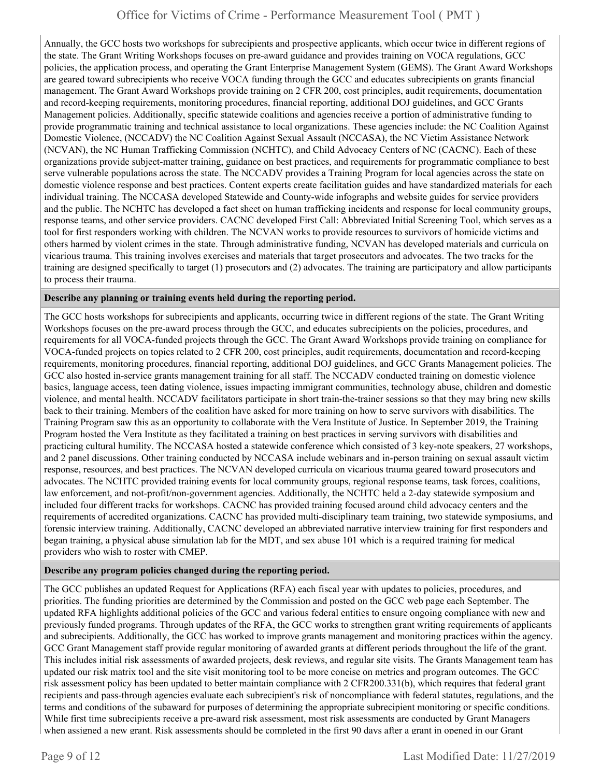Annually, the GCC hosts two workshops for subrecipients and prospective applicants, which occur twice in different regions of the state. The Grant Writing Workshops focuses on pre-award guidance and provides training on VOCA regulations, GCC policies, the application process, and operating the Grant Enterprise Management System (GEMS). The Grant Award Workshops are geared toward subrecipients who receive VOCA funding through the GCC and educates subrecipients on grants financial management. The Grant Award Workshops provide training on 2 CFR 200, cost principles, audit requirements, documentation and record-keeping requirements, monitoring procedures, financial reporting, additional DOJ guidelines, and GCC Grants Management policies. Additionally, specific statewide coalitions and agencies receive a portion of administrative funding to provide programmatic training and technical assistance to local organizations. These agencies include: the NC Coalition Against Domestic Violence, (NCCADV) the NC Coalition Against Sexual Assault (NCCASA), the NC Victim Assistance Network (NCVAN), the NC Human Trafficking Commission (NCHTC), and Child Advocacy Centers of NC (CACNC). Each of these organizations provide subject-matter training, guidance on best practices, and requirements for programmatic compliance to best serve vulnerable populations across the state. The NCCADV provides a Training Program for local agencies across the state on domestic violence response and best practices. Content experts create facilitation guides and have standardized materials for each individual training. The NCCASA developed Statewide and County-wide infographs and website guides for service providers and the public. The NCHTC has developed a fact sheet on human trafficking incidents and response for local community groups, response teams, and other service providers. CACNC developed First Call: Abbreviated Initial Screening Tool, which serves as a tool for first responders working with children. The NCVAN works to provide resources to survivors of homicide victims and others harmed by violent crimes in the state. Through administrative funding, NCVAN has developed materials and curricula on vicarious trauma. This training involves exercises and materials that target prosecutors and advocates. The two tracks for the training are designed specifically to target (1) prosecutors and (2) advocates. The training are participatory and allow participants to process their trauma.

#### **Describe any planning or training events held during the reporting period.**

The GCC hosts workshops for subrecipients and applicants, occurring twice in different regions of the state. The Grant Writing Workshops focuses on the pre-award process through the GCC, and educates subrecipients on the policies, procedures, and requirements for all VOCA-funded projects through the GCC. The Grant Award Workshops provide training on compliance for VOCA-funded projects on topics related to 2 CFR 200, cost principles, audit requirements, documentation and record-keeping requirements, monitoring procedures, financial reporting, additional DOJ guidelines, and GCC Grants Management policies. The GCC also hosted in-service grants management training for all staff. The NCCADV conducted training on domestic violence basics, language access, teen dating violence, issues impacting immigrant communities, technology abuse, children and domestic violence, and mental health. NCCADV facilitators participate in short train-the-trainer sessions so that they may bring new skills back to their training. Members of the coalition have asked for more training on how to serve survivors with disabilities. The Training Program saw this as an opportunity to collaborate with the Vera Institute of Justice. In September 2019, the Training Program hosted the Vera Institute as they facilitated a training on best practices in serving survivors with disabilities and practicing cultural humility. The NCCASA hosted a statewide conference which consisted of 3 key-note speakers, 27 workshops, and 2 panel discussions. Other training conducted by NCCASA include webinars and in-person training on sexual assault victim response, resources, and best practices. The NCVAN developed curricula on vicarious trauma geared toward prosecutors and advocates. The NCHTC provided training events for local community groups, regional response teams, task forces, coalitions, law enforcement, and not-profit/non-government agencies. Additionally, the NCHTC held a 2-day statewide symposium and included four different tracks for workshops. CACNC has provided training focused around child advocacy centers and the requirements of accredited organizations. CACNC has provided multi-disciplinary team training, two statewide symposiums, and forensic interview training. Additionally, CACNC developed an abbreviated narrative interview training for first responders and began training, a physical abuse simulation lab for the MDT, and sex abuse 101 which is a required training for medical providers who wish to roster with CMEP.

#### **Describe any program policies changed during the reporting period.**

The GCC publishes an updated Request for Applications (RFA) each fiscal year with updates to policies, procedures, and priorities. The funding priorities are determined by the Commission and posted on the GCC web page each September. The updated RFA highlights additional policies of the GCC and various federal entities to ensure ongoing compliance with new and previously funded programs. Through updates of the RFA, the GCC works to strengthen grant writing requirements of applicants and subrecipients. Additionally, the GCC has worked to improve grants management and monitoring practices within the agency. GCC Grant Management staff provide regular monitoring of awarded grants at different periods throughout the life of the grant. This includes initial risk assessments of awarded projects, desk reviews, and regular site visits. The Grants Management team has updated our risk matrix tool and the site visit monitoring tool to be more concise on metrics and program outcomes. The GCC risk assessment policy has been updated to better maintain compliance with 2 CFR200.331(b), which requires that federal grant recipients and pass-through agencies evaluate each subrecipient's risk of noncompliance with federal statutes, regulations, and the terms and conditions of the subaward for purposes of determining the appropriate subrecipient monitoring or specific conditions. While first time subrecipients receive a pre-award risk assessment, most risk assessments are conducted by Grant Managers when assigned a new grant. Risk assessments should be completed in the first 90 days after a grant in opened in our Grant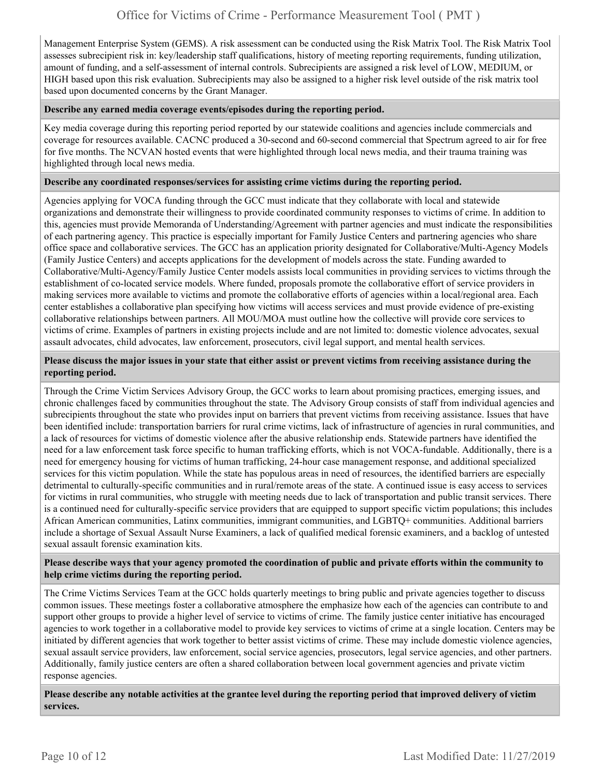Management Enterprise System (GEMS). A risk assessment can be conducted using the Risk Matrix Tool. The Risk Matrix Tool assesses subrecipient risk in: key/leadership staff qualifications, history of meeting reporting requirements, funding utilization, amount of funding, and a self-assessment of internal controls. Subrecipients are assigned a risk level of LOW, MEDIUM, or HIGH based upon this risk evaluation. Subrecipients may also be assigned to a higher risk level outside of the risk matrix tool based upon documented concerns by the Grant Manager.

#### **Describe any earned media coverage events/episodes during the reporting period.**

Key media coverage during this reporting period reported by our statewide coalitions and agencies include commercials and coverage for resources available. CACNC produced a 30-second and 60-second commercial that Spectrum agreed to air for free for five months. The NCVAN hosted events that were highlighted through local news media, and their trauma training was highlighted through local news media.

#### **Describe any coordinated responses/services for assisting crime victims during the reporting period.**

Agencies applying for VOCA funding through the GCC must indicate that they collaborate with local and statewide organizations and demonstrate their willingness to provide coordinated community responses to victims of crime. In addition to this, agencies must provide Memoranda of Understanding/Agreement with partner agencies and must indicate the responsibilities of each partnering agency. This practice is especially important for Family Justice Centers and partnering agencies who share office space and collaborative services. The GCC has an application priority designated for Collaborative/Multi-Agency Models (Family Justice Centers) and accepts applications for the development of models across the state. Funding awarded to Collaborative/Multi-Agency/Family Justice Center models assists local communities in providing services to victims through the establishment of co-located service models. Where funded, proposals promote the collaborative effort of service providers in making services more available to victims and promote the collaborative efforts of agencies within a local/regional area. Each center establishes a collaborative plan specifying how victims will access services and must provide evidence of pre-existing collaborative relationships between partners. All MOU/MOA must outline how the collective will provide core services to victims of crime. Examples of partners in existing projects include and are not limited to: domestic violence advocates, sexual assault advocates, child advocates, law enforcement, prosecutors, civil legal support, and mental health services.

#### **Please discuss the major issues in your state that either assist or prevent victims from receiving assistance during the reporting period.**

Through the Crime Victim Services Advisory Group, the GCC works to learn about promising practices, emerging issues, and chronic challenges faced by communities throughout the state. The Advisory Group consists of staff from individual agencies and subrecipients throughout the state who provides input on barriers that prevent victims from receiving assistance. Issues that have been identified include: transportation barriers for rural crime victims, lack of infrastructure of agencies in rural communities, and a lack of resources for victims of domestic violence after the abusive relationship ends. Statewide partners have identified the need for a law enforcement task force specific to human trafficking efforts, which is not VOCA-fundable. Additionally, there is a need for emergency housing for victims of human trafficking, 24-hour case management response, and additional specialized services for this victim population. While the state has populous areas in need of resources, the identified barriers are especially detrimental to culturally-specific communities and in rural/remote areas of the state. A continued issue is easy access to services for victims in rural communities, who struggle with meeting needs due to lack of transportation and public transit services. There is a continued need for culturally-specific service providers that are equipped to support specific victim populations; this includes African American communities, Latinx communities, immigrant communities, and LGBTQ+ communities. Additional barriers include a shortage of Sexual Assault Nurse Examiners, a lack of qualified medical forensic examiners, and a backlog of untested sexual assault forensic examination kits.

#### **Please describe ways that your agency promoted the coordination of public and private efforts within the community to help crime victims during the reporting period.**

The Crime Victims Services Team at the GCC holds quarterly meetings to bring public and private agencies together to discuss common issues. These meetings foster a collaborative atmosphere the emphasize how each of the agencies can contribute to and support other groups to provide a higher level of service to victims of crime. The family justice center initiative has encouraged agencies to work together in a collaborative model to provide key services to victims of crime at a single location. Centers may be initiated by different agencies that work together to better assist victims of crime. These may include domestic violence agencies, sexual assault service providers, law enforcement, social service agencies, prosecutors, legal service agencies, and other partners. Additionally, family justice centers are often a shared collaboration between local government agencies and private victim response agencies.

**Please describe any notable activities at the grantee level during the reporting period that improved delivery of victim services.**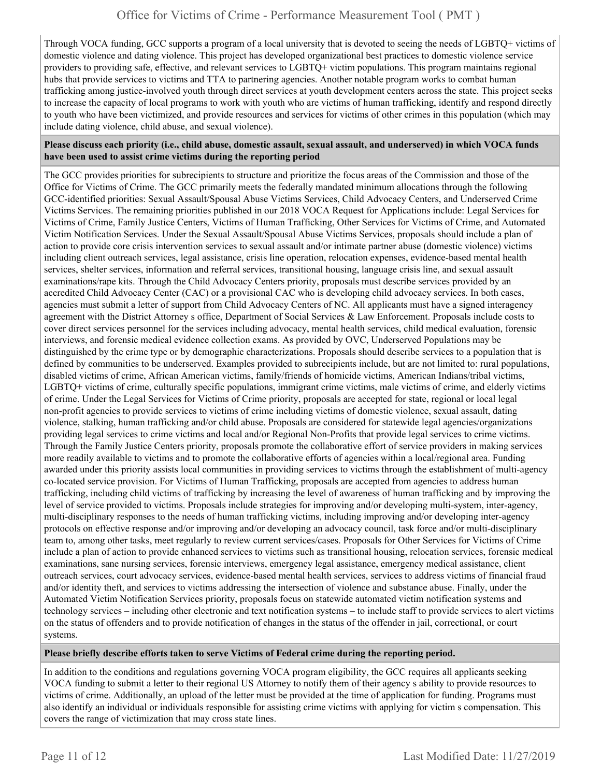Through VOCA funding, GCC supports a program of a local university that is devoted to seeing the needs of LGBTQ+ victims of domestic violence and dating violence. This project has developed organizational best practices to domestic violence service providers to providing safe, effective, and relevant services to LGBTQ+ victim populations. This program maintains regional hubs that provide services to victims and TTA to partnering agencies. Another notable program works to combat human trafficking among justice-involved youth through direct services at youth development centers across the state. This project seeks to increase the capacity of local programs to work with youth who are victims of human trafficking, identify and respond directly to youth who have been victimized, and provide resources and services for victims of other crimes in this population (which may include dating violence, child abuse, and sexual violence).

#### **Please discuss each priority (i.e., child abuse, domestic assault, sexual assault, and underserved) in which VOCA funds have been used to assist crime victims during the reporting period**

The GCC provides priorities for subrecipients to structure and prioritize the focus areas of the Commission and those of the Office for Victims of Crime. The GCC primarily meets the federally mandated minimum allocations through the following GCC-identified priorities: Sexual Assault/Spousal Abuse Victims Services, Child Advocacy Centers, and Underserved Crime Victims Services. The remaining priorities published in our 2018 VOCA Request for Applications include: Legal Services for Victims of Crime, Family Justice Centers, Victims of Human Trafficking, Other Services for Victims of Crime, and Automated Victim Notification Services. Under the Sexual Assault/Spousal Abuse Victims Services, proposals should include a plan of action to provide core crisis intervention services to sexual assault and/or intimate partner abuse (domestic violence) victims including client outreach services, legal assistance, crisis line operation, relocation expenses, evidence-based mental health services, shelter services, information and referral services, transitional housing, language crisis line, and sexual assault examinations/rape kits. Through the Child Advocacy Centers priority, proposals must describe services provided by an accredited Child Advocacy Center (CAC) or a provisional CAC who is developing child advocacy services. In both cases, agencies must submit a letter of support from Child Advocacy Centers of NC. All applicants must have a signed interagency agreement with the District Attorney s office, Department of Social Services & Law Enforcement. Proposals include costs to cover direct services personnel for the services including advocacy, mental health services, child medical evaluation, forensic interviews, and forensic medical evidence collection exams. As provided by OVC, Underserved Populations may be distinguished by the crime type or by demographic characterizations. Proposals should describe services to a population that is defined by communities to be underserved. Examples provided to subrecipients include, but are not limited to: rural populations, disabled victims of crime, African American victims, family/friends of homicide victims, American Indians/tribal victims, LGBTQ+ victims of crime, culturally specific populations, immigrant crime victims, male victims of crime, and elderly victims of crime. Under the Legal Services for Victims of Crime priority, proposals are accepted for state, regional or local legal non-profit agencies to provide services to victims of crime including victims of domestic violence, sexual assault, dating violence, stalking, human trafficking and/or child abuse. Proposals are considered for statewide legal agencies/organizations providing legal services to crime victims and local and/or Regional Non-Profits that provide legal services to crime victims. Through the Family Justice Centers priority, proposals promote the collaborative effort of service providers in making services more readily available to victims and to promote the collaborative efforts of agencies within a local/regional area. Funding awarded under this priority assists local communities in providing services to victims through the establishment of multi-agency co-located service provision. For Victims of Human Trafficking, proposals are accepted from agencies to address human trafficking, including child victims of trafficking by increasing the level of awareness of human trafficking and by improving the level of service provided to victims. Proposals include strategies for improving and/or developing multi-system, inter-agency, multi-disciplinary responses to the needs of human trafficking victims, including improving and/or developing inter-agency protocols on effective response and/or improving and/or developing an advocacy council, task force and/or multi-disciplinary team to, among other tasks, meet regularly to review current services/cases. Proposals for Other Services for Victims of Crime include a plan of action to provide enhanced services to victims such as transitional housing, relocation services, forensic medical examinations, sane nursing services, forensic interviews, emergency legal assistance, emergency medical assistance, client outreach services, court advocacy services, evidence-based mental health services, services to address victims of financial fraud and/or identity theft, and services to victims addressing the intersection of violence and substance abuse. Finally, under the Automated Victim Notification Services priority, proposals focus on statewide automated victim notification systems and technology services – including other electronic and text notification systems – to include staff to provide services to alert victims on the status of offenders and to provide notification of changes in the status of the offender in jail, correctional, or court systems.

#### **Please briefly describe efforts taken to serve Victims of Federal crime during the reporting period.**

In addition to the conditions and regulations governing VOCA program eligibility, the GCC requires all applicants seeking VOCA funding to submit a letter to their regional US Attorney to notify them of their agency s ability to provide resources to victims of crime. Additionally, an upload of the letter must be provided at the time of application for funding. Programs must also identify an individual or individuals responsible for assisting crime victims with applying for victim s compensation. This covers the range of victimization that may cross state lines.